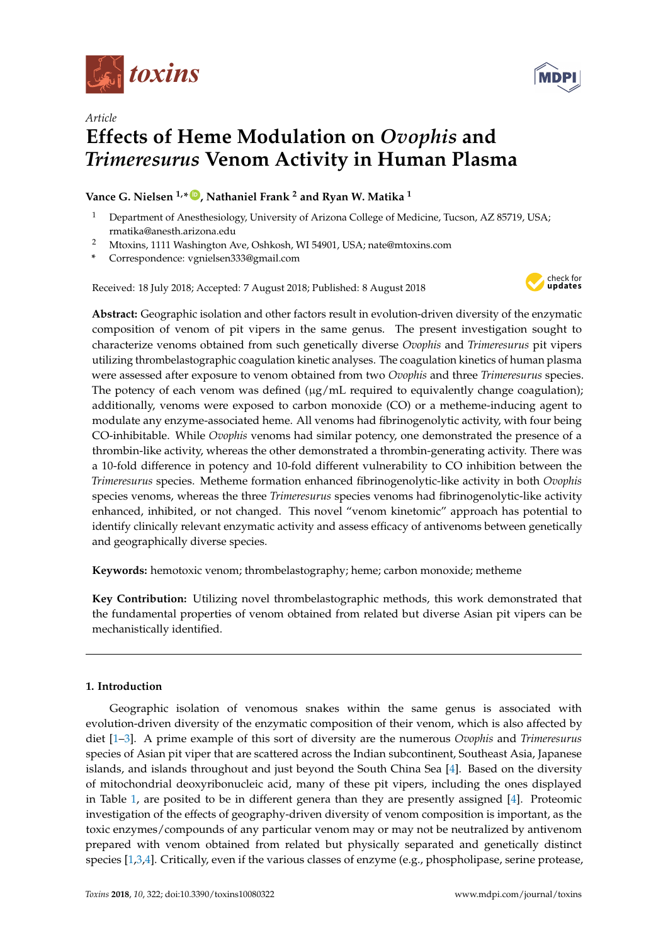



# *Article* **Effects of Heme Modulation on** *Ovophis* **and** *Trimeresurus* **Venom Activity in Human Plasma**

**Vance G. Nielsen 1,\* [ID](https://orcid.org/0000-0002-8072-9883) , Nathaniel Frank <sup>2</sup> and Ryan W. Matika <sup>1</sup>**

- <sup>1</sup> Department of Anesthesiology, University of Arizona College of Medicine, Tucson, AZ 85719, USA; rmatika@anesth.arizona.edu
- <sup>2</sup> Mtoxins, 1111 Washington Ave, Oshkosh, WI 54901, USA; nate@mtoxins.com
- **\*** Correspondence: vgnielsen333@gmail.com

Received: 18 July 2018; Accepted: 7 August 2018; Published: 8 August 2018



**Abstract:** Geographic isolation and other factors result in evolution-driven diversity of the enzymatic composition of venom of pit vipers in the same genus. The present investigation sought to characterize venoms obtained from such genetically diverse *Ovophis* and *Trimeresurus* pit vipers utilizing thrombelastographic coagulation kinetic analyses. The coagulation kinetics of human plasma were assessed after exposure to venom obtained from two *Ovophis* and three *Trimeresurus* species. The potency of each venom was defined  $(\mu g/mL)$  required to equivalently change coagulation); additionally, venoms were exposed to carbon monoxide (CO) or a metheme-inducing agent to modulate any enzyme-associated heme. All venoms had fibrinogenolytic activity, with four being CO-inhibitable. While *Ovophis* venoms had similar potency, one demonstrated the presence of a thrombin-like activity, whereas the other demonstrated a thrombin-generating activity. There was a 10-fold difference in potency and 10-fold different vulnerability to CO inhibition between the *Trimeresurus* species. Metheme formation enhanced fibrinogenolytic-like activity in both *Ovophis* species venoms, whereas the three *Trimeresurus* species venoms had fibrinogenolytic-like activity enhanced, inhibited, or not changed. This novel "venom kinetomic" approach has potential to identify clinically relevant enzymatic activity and assess efficacy of antivenoms between genetically and geographically diverse species.

**Keywords:** hemotoxic venom; thrombelastography; heme; carbon monoxide; metheme

**Key Contribution:** Utilizing novel thrombelastographic methods, this work demonstrated that the fundamental properties of venom obtained from related but diverse Asian pit vipers can be mechanistically identified.

## **1. Introduction**

Geographic isolation of venomous snakes within the same genus is associated with evolution-driven diversity of the enzymatic composition of their venom, which is also affected by diet [\[1–](#page-9-0)[3\]](#page-9-1). A prime example of this sort of diversity are the numerous *Ovophis* and *Trimeresurus* species of Asian pit viper that are scattered across the Indian subcontinent, Southeast Asia, Japanese islands, and islands throughout and just beyond the South China Sea [\[4\]](#page-9-2). Based on the diversity of mitochondrial deoxyribonucleic acid, many of these pit vipers, including the ones displayed in Table [1,](#page-1-0) are posited to be in different genera than they are presently assigned [\[4\]](#page-9-2). Proteomic investigation of the effects of geography-driven diversity of venom composition is important, as the toxic enzymes/compounds of any particular venom may or may not be neutralized by antivenom prepared with venom obtained from related but physically separated and genetically distinct species [\[1,](#page-9-0)[3,](#page-9-1)[4\]](#page-9-2). Critically, even if the various classes of enzyme (e.g., phospholipase, serine protease,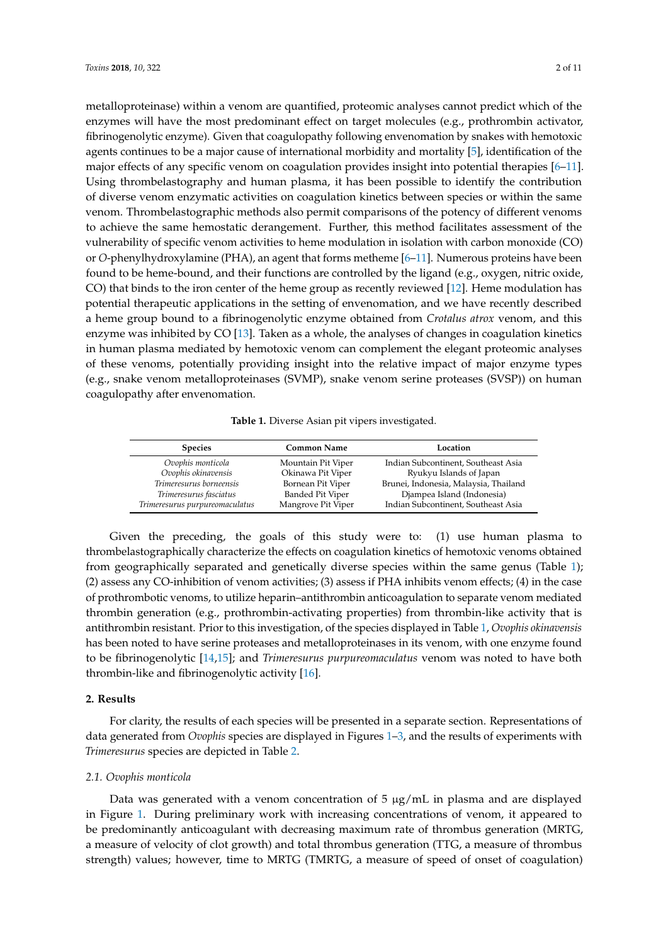metalloproteinase) within a venom are quantified, proteomic analyses cannot predict which of the enzymes will have the most predominant effect on target molecules (e.g., prothrombin activator, fibrinogenolytic enzyme). Given that coagulopathy following envenomation by snakes with hemotoxic agents continues to be a major cause of international morbidity and mortality [\[5\]](#page-9-3), identification of the major effects of any specific venom on coagulation provides insight into potential therapies [\[6–](#page-9-4)[11\]](#page-9-5). Using thrombelastography and human plasma, it has been possible to identify the contribution of diverse venom enzymatic activities on coagulation kinetics between species or within the same venom. Thrombelastographic methods also permit comparisons of the potency of different venoms to achieve the same hemostatic derangement. Further, this method facilitates assessment of the vulnerability of specific venom activities to heme modulation in isolation with carbon monoxide (CO) or *O*-phenylhydroxylamine (PHA), an agent that forms metheme [\[6–](#page-9-4)[11\]](#page-9-5). Numerous proteins have been found to be heme-bound, and their functions are controlled by the ligand (e.g., oxygen, nitric oxide, CO) that binds to the iron center of the heme group as recently reviewed [\[12\]](#page-9-6). Heme modulation has potential therapeutic applications in the setting of envenomation, and we have recently described a heme group bound to a fibrinogenolytic enzyme obtained from *Crotalus atrox* venom, and this enzyme was inhibited by CO [\[13\]](#page-9-7). Taken as a whole, the analyses of changes in coagulation kinetics in human plasma mediated by hemotoxic venom can complement the elegant proteomic analyses of these venoms, potentially providing insight into the relative impact of major enzyme types (e.g., snake venom metalloproteinases (SVMP), snake venom serine proteases (SVSP)) on human coagulopathy after envenomation.

**Table 1.** Diverse Asian pit vipers investigated.

<span id="page-1-0"></span>

| <b>Species</b>                 | <b>Common Name</b>      | Location                              |
|--------------------------------|-------------------------|---------------------------------------|
| Ovophis monticola              | Mountain Pit Viper      | Indian Subcontinent, Southeast Asia   |
| Ovophis okinavensis            | Okinawa Pit Viper       | Ryukyu Islands of Japan               |
| Trimeresurus borneensis        | Bornean Pit Viper       | Brunei, Indonesia, Malaysia, Thailand |
| Trimeresurus fasciatus         | <b>Banded Pit Viper</b> | Djampea Island (Indonesia)            |
| Trimeresurus purpureomaculatus | Mangrove Pit Viper      | Indian Subcontinent, Southeast Asia   |

Given the preceding, the goals of this study were to: (1) use human plasma to thrombelastographically characterize the effects on coagulation kinetics of hemotoxic venoms obtained from geographically separated and genetically diverse species within the same genus (Table [1\)](#page-1-0); (2) assess any CO-inhibition of venom activities; (3) assess if PHA inhibits venom effects; (4) in the case of prothrombotic venoms, to utilize heparin–antithrombin anticoagulation to separate venom mediated thrombin generation (e.g., prothrombin-activating properties) from thrombin-like activity that is antithrombin resistant. Prior to this investigation, of the species displayed in Table [1,](#page-1-0) *Ovophis okinavensis* has been noted to have serine proteases and metalloproteinases in its venom, with one enzyme found to be fibrinogenolytic [\[14,](#page-9-8)[15\]](#page-9-9); and *Trimeresurus purpureomaculatus* venom was noted to have both thrombin-like and fibrinogenolytic activity [\[16\]](#page-9-10).

#### **2. Results**

For clarity, the results of each species will be presented in a separate section. Representations of data generated from *Ovophis* species are displayed in Figures [1–](#page-2-0)[3,](#page-4-0) and the results of experiments with *Trimeresurus* species are depicted in Table [2.](#page-5-0)

#### *2.1. Ovophis monticola*

Data was generated with a venom concentration of  $5 \mu g/mL$  in plasma and are displayed in Figure [1.](#page-2-0) During preliminary work with increasing concentrations of venom, it appeared to be predominantly anticoagulant with decreasing maximum rate of thrombus generation (MRTG, a measure of velocity of clot growth) and total thrombus generation (TTG, a measure of thrombus strength) values; however, time to MRTG (TMRTG, a measure of speed of onset of coagulation)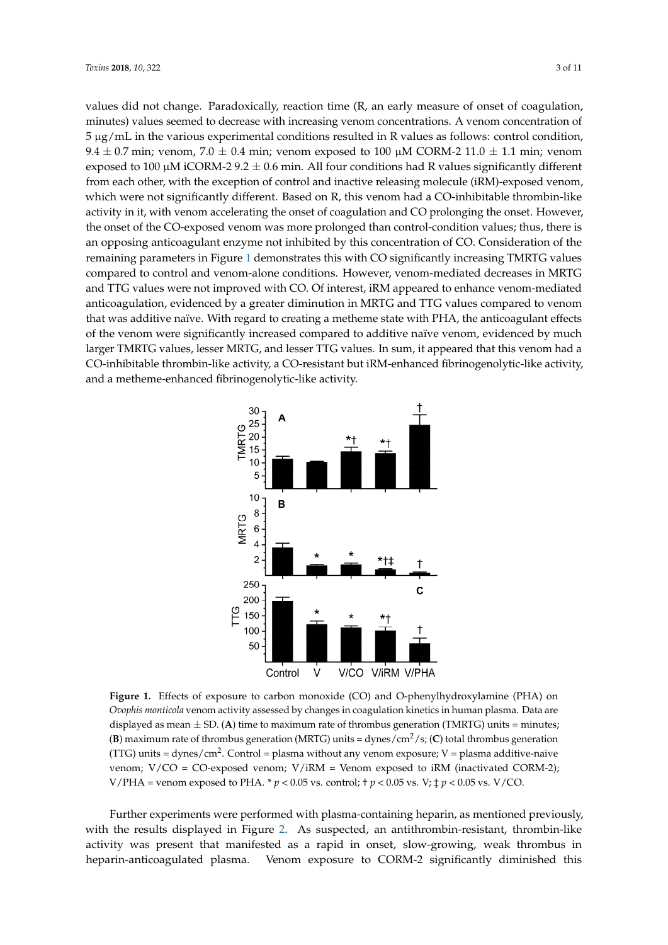values did not change. Paradoxically, reaction time  $(R$ , an early measure of onset of coagulation, minutes) values seemed to decrease with increasing venom concentrations. A venom concentration of  $5 \,\mu$ g/mL in the various experimental conditions resulted in R values as follows: control condition,  $9.4 \pm 0.7$  min; venom,  $7.0 \pm 0.4$  min; venom exposed to 100 µM CORM-2 11.0  $\pm$  1.1 min; venom exposed to 100  $\mu$ M iCORM-2 9.2  $\pm$  0.6 min. All four conditions had R values significantly different from each other, with the exception of control and inactive releasing molecule (iRM)-exposed venom, which were not significantly different. Based on R, this venom had a CO-inhibitable thrombin-like activity in it, with venom accelerating the onset of coagulation and  ${\rm CO}$  prolonging the onset. However, the onset of the CO-exposed venom was more prolonged than control-condition values; thus, there is an opposing anticoagulant enzyme not inhibited by this concentration of CO. Consideration of the remaining parameters in Figur[e](#page-2-0) 1 demonstrates this with CO significantly increasing TMRTG values compared to control and venom-alone conditions. However, venom-mediated decreases in MRTG and TTG values were not improved with CO. Of interest, iRM appeared to enhance venom-mediated anticoagulation, evidenced by a greater diminution in MRTG and TTG values compared to venom that was additive naïve. With regard to creating a metheme state with PHA, the anticoagulant effects of the venom were significantly increased compared to additive naïve venom, evidenced by much larger TMRTG values, lesser MRTG, and lesser TTG values. In sum, it appeared that this venom had a CO-inhibitable thrombin-like activity, a CO-resistant but iRM-enhanced fibrinogenolytic-like activity, and a metheme-enhanced fibrinogenolytic-like activity.

<span id="page-2-0"></span>

**Figure 1.** Effects of exposure to carbon monoxide (CO) and O-phenylhydroxylamine (PHA) on **Figure 1.** Effects of exposure to carbon monoxide (CO) and O-phenylhydroxylamine (PHA) on *Ovophis monticola* venom activity assessed by changes in coagulation kinetics in human plasma. Data *Ovophis monticola* venom activity assessed by changes in coagulation kinetics in human plasma. Data are displayed as mean  $\pm$  SD. (A) time to maximum rate of thrombus generation (TMRTG) units = minutes; (**B**) maximum rate of thrombus generation (MRTG) units = dynes/cm<sup>2</sup>/s; (**C**) total thrombus generation (TTG) units = dynes/cm<sup>2</sup>. Control = plasma without any venom exposure;  $V$  = plasma additive-naive venom;  $V/CO = CO$ -exposed venom;  $V/iRM$  = Venom exposed to iRM (inactivated CORM-2); venom;  $V/CO = CO$ -exposed venom;  $V/IRM =$  Venom exposed to iRM (inactivated CORM-2); V/PHA = venom exposed to PHA. \*  $p < 0.05$  vs. control; †  $p < 0.05$  vs. V; ‡  $p < 0.05$  vs. V/CO.

Further experiments were performed with plasma-containing heparin, as mentioned previously, with the results displayed in Figure [2.](#page-3-0) As suspected, an antithrombin-resistant, thrombin-like activity was present that manifested as a rapid in onset, slow-growing, weak thrombus in heparin-anticoagulated plasma. Venom exposure to CORM-2 significantly diminished this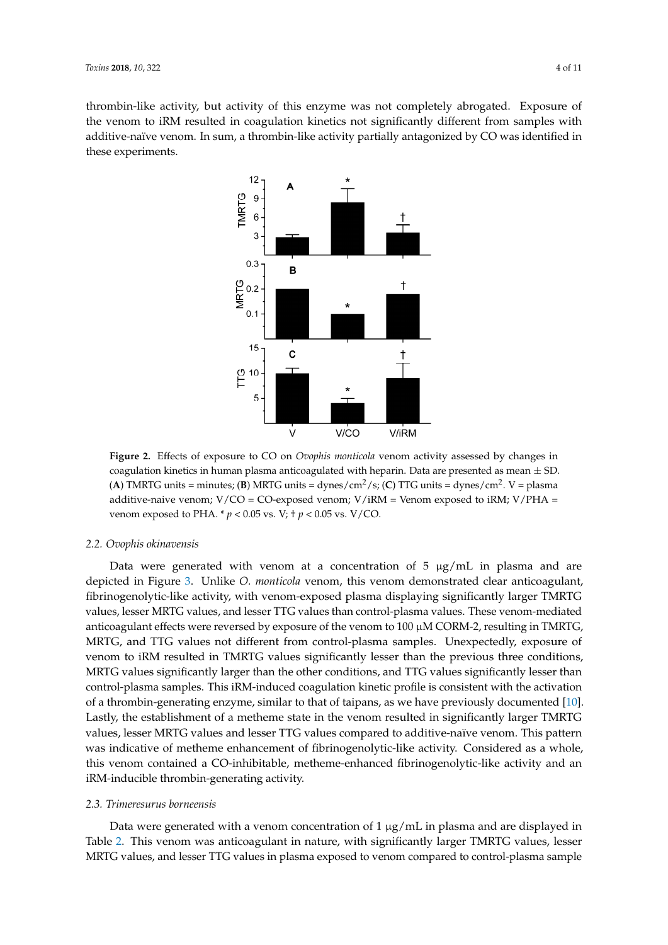<span id="page-3-0"></span>thrombin-like activity, but activity of this enzyme was not completely abrogated. Exposure of the venom to iRM resulted in coagulation kinetics not significantly different from samples with additive-naïve venom. In sum, a thrombin-like activity partially antagonized by CO was identified in these experiments.



**Figure 2.** Effects of exposure to CO on *Ovophis monticola* venom activity assessed by changes in **Figure 2.** Effects of exposure to CO on *Ovophis monticola* venom activity assessed by changes in coagulation kinetics in human plasma anticoagulated with heparin. Data are presented as mean  $\pm$  SD. (A) TMRTG units = minutes; (B) MRTG units = dynes/cm<sup>2</sup>/s; (C) TTG units = dynes/cm<sup>2</sup>. V = plasma additive-naive venom;  $V/CO = CO$ -exposed venom;  $V/iRM =$  Venom exposed to iRM;  $V/PHA =$ venom exposed to PHA.  $* p < 0.05$  vs. V;  $\dagger p < 0.05$  vs. V/CO.

# *2.2. Ovophis okinavensis 2.2. Ovophis okinavensis*

Data were generated with venom at a concentration of 5  $\mu$ g/mL in plasma and are depicted in Figure [3.](#page-4-0) Unlike *O. monticola* venom, this venom demonstrated clear anticoagulant, fibrinogenolytic-like activity, with venom-exposed plasma displaying significantly larger TMRTG MRTG values, and lesser TTG values than control-plasma values. These venom-mediated values, lesser MRTG values, and lesser TTG values than control-plasma values. These venom-mediated anticoagulant effects were reversed by exposure of the venom to 100 µM CORM-2, resulting in anticoagulant effects were reversed by exposure of the venom to 100 µM CORM-2, resulting in TMRTG, MRTG, and TTG values not different from control-plasma samples. Unexpectedly, exposure of venom to iRM resulted in TMRTG values significantly lesser than the previous three conditions, MRTG values significantly larger than the other conditions, and TTG values significantly lesser than MRTG values significantly larger than the other conditions, and TTG values significantly lesser than control-plasma samples. This iRM-induced coagulation kinetic profile is consistent with the control-plasma samples. This iRM-induced coagulation kinetic profile is consistent with the activation of a thrombin-generating enzyme, similar to that of taipans, as we have previously documented [\[10\]](#page-9-11). Lastly, the establishment of a metheme state in the venom resulted in significantly larger TMRTG values, lesser MRTG values and lesser TTG values compared to additive-naïve venom. This pattern was indicative of metheme enhancement of fibrinogenolytic-like activity. Considered as a whole, this venom contained a CO-inhibitable, metheme-enhanced fibrinogenolytic-like activity and an iRM-inducible thrombin-generating activity.

### *2.3. Trimeresurus borneensis 2.3. Trimeresurus borneensis*

Data were generated with a venom concentration of 1 µg/mL in plasma and are displayed in Data were generated with a venom concentration of 1 µg/mL in plasma and are displayed in Table [2](#page-5-0). This venom was anticoagulant in nature, with significantly larger TMRTG values, lesser Table 2. This venom was anticoagulant in nature, with significantly larger TMRTG values, lesser MRTG values, and lesser TTG values in plasma exposed to venom compared to control-plasma MRTG values, and lesser TTG values in plasma exposed to venom compared to control-plasma sample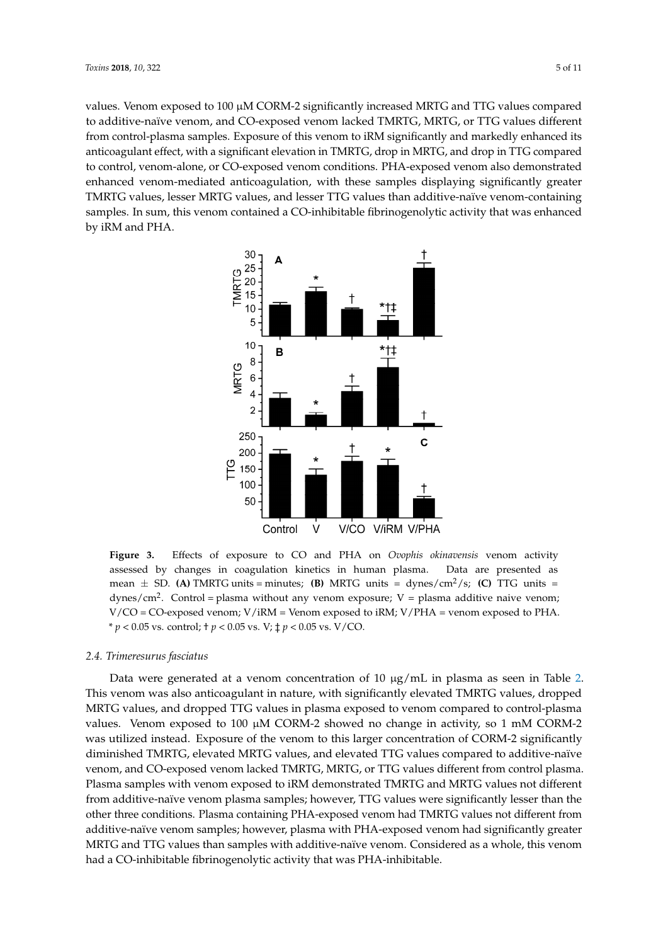values. Venom exposed to 100  $\mu$ M CORM-2 significantly increased MRTG and TTG values compared to additive-naïve venom, and CO-exposed venom lacked TMRTG, MRTG, or TTG values different from control-plasma samples. Exposure of this venom to iRM significantly and markedly enhanced its anticoagulant effect, with a significant elevation in TMRTG, drop in MRTG, and drop in TTG compared to control, venom-alone, or CO-exposed venom conditions. PHA-exposed venom also demonstrated enhanced venom-mediated anticoagulation, with these samples displaying significantly greater *Toxins* **2018**, *10*, x FOR PEER REVIEW 5 of 11 TMRTG values, lesser MRTG values, and lesser TTG values than additive-naïve venom-containing samples. In sum, this venom contained a CO-inhibitable fibrinogenolytic activity that was enhanced by iRM and PHA.

<span id="page-4-0"></span>

Figure 3. Effects of exposure to CO and PHA on *Ovophis okinavensis* venom activity assessed by changes in coagulation kinetics in human plasma. Data are presented as mean  $\pm$  SD. **(A)** TMRTG units = minutes; **(B)** MRTG units = dynes/cm<sup>2</sup>/s; **(C)** TTG units = dynes/cm<sup>2</sup>. Control = plasma without any venom exposure; V = plasma additive naive venom; V/CO = CO-exposed venom;  $V/iRM$  = Venom exposed to iRM;  $V/PHA$  = venom exposed to PHA. \*  $p$  < 0.05 vs. control; †  $p$  < 0.05 vs. V;  $\ddagger$   $p$  < 0.05 vs. V/CO.

# *2.4. Trimeresurus fasciatus 2.4. Trimeresurus fasciatus*

Data were generated at a venom concentration of  $10 \mu g/mL$  in plasma as seen in Table [2.](#page-5-0) This venom was also anticoagulant in nature, with significantly elevated TMRTG values, dropped MRTG values, and dropped TTG values in plasma exposed to venom compared to control-plasma values. Venom exposed to 100 µM CORM-2 showed no change in activity, so 1 mM CORM-2 was utilized instead. Exposure of the venom to this larger concentration of CORM-2 significantly diminished TMRTG, elevated MRTG values, and elevated TTG values compared to additive-naïve venom, and CO-exposed venom lacked TMRTG, MRTG, or TTG values different from control plasma. Plasma samples with venom exposed to iRM demonstrated TMRTG and MRTG values not different from additive-naïve venom plasma samples; however, TTG values were significantly lesser than the other three conditions. Plasma containing PHA-exposed venom had TMRTG values not different from additive-naïve venom samples; however, plasma with PHA-exposed venom had significantly greater additive-naïve venom samples; however, plasma with PHA-exposed venom had significantly greater MRTG and TTG values than samples with additive-naïve venom. Considered as a whole, this venom MRTG and TTG values than samples with additive-naïve venom. Considered as a whole, this venom had a CO-inhibitable fibrinogenolytic activity that was PHA-inhibitable. had a CO-inhibitable fibrinogenolytic activity that was PHA-inhibitable.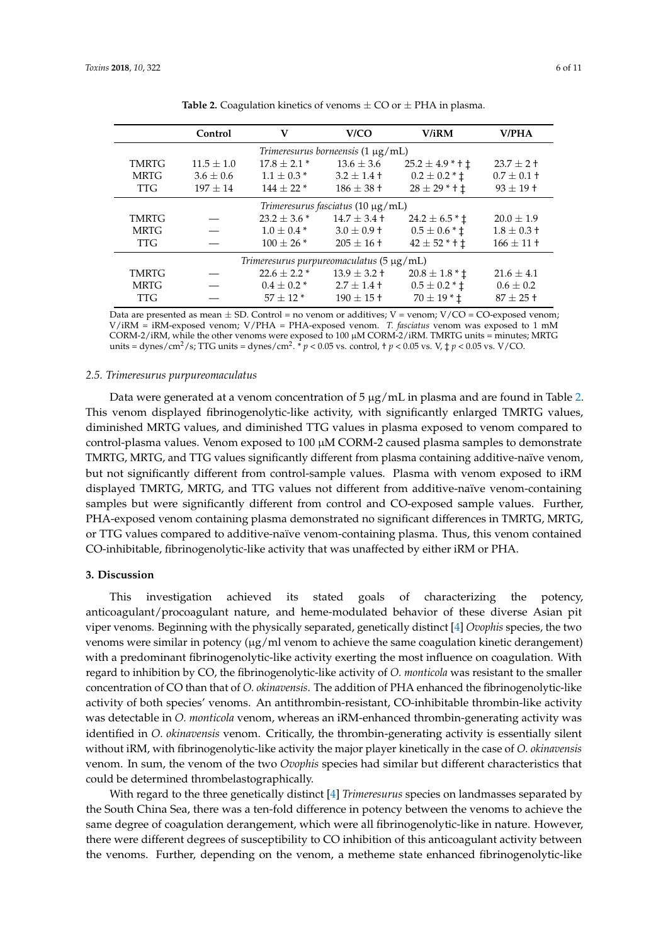|  | 6 of 1 |  |
|--|--------|--|
|  |        |  |

<span id="page-5-0"></span>

|                                          | Control        | v                | V/CO                  | <b>V/iRM</b>                | <b>V/PHA</b>    |  |  |  |
|------------------------------------------|----------------|------------------|-----------------------|-----------------------------|-----------------|--|--|--|
| Trimeresurus borneensis $(1 \mu g/mL)$   |                |                  |                       |                             |                 |  |  |  |
| <b>TMRTG</b>                             | $11.5 \pm 1.0$ | $17.8 \pm 2.1*$  | $13.6 \pm 3.6$        | $25.2 \pm 4.9$ * † $\pm$    | $23.7 \pm 2$ +  |  |  |  |
| <b>MRTG</b>                              | $3.6 \pm 0.6$  | $1.1 \pm 0.3*$   | $3.2 \pm 1.4 +$       | $0.2 \pm 0.2 * t$           | $0.7 \pm 0.1$ † |  |  |  |
| <b>TTG</b>                               | $197 + 14$     | $144 + 22$ *     | $186 \pm 38$ †        | $28 \pm 29$ * † $\pm$       | $93 \pm 19$ †   |  |  |  |
| Trimeresurus fasciatus $(10 \mu g/mL)$   |                |                  |                       |                             |                 |  |  |  |
| <b>TMRTG</b>                             |                | $23.2 \pm 3.6$ * | $14.7 \pm 3.4$ †      | $24.2 \pm 6.5$ * $\ddagger$ | $20.0 \pm 1.9$  |  |  |  |
| <b>MRTG</b>                              |                | $1.0 \pm 0.4*$   | $3.0 \pm 0.9 +$       | $0.5 \pm 0.6 * t$           | $1.8 \pm 0.3 +$ |  |  |  |
| <b>TTG</b>                               |                | $100 + 26$ *     | $205 \pm 16$ †        | $42 \pm 52$ * $\pm$ $\pm$   | $166 \pm 11$ †  |  |  |  |
| Trimeresurus purpureomaculatus (5 µg/mL) |                |                  |                       |                             |                 |  |  |  |
| <b>TMRTG</b>                             |                | $22.6 \pm 2.2$ * | $13.9 \pm 3.2$ †      | $20.8 \pm 1.8$ * $\ddagger$ | $21.6 \pm 4.1$  |  |  |  |
| <b>MRTG</b>                              |                | $0.4 \pm 0.2*$   | $2.7 \pm 1.4 \pm 1.4$ | $0.5 \pm 0.2 * t$           | $0.6 \pm 0.2$   |  |  |  |
| TTG                                      |                | $57 + 12*$       | $190 \pm 15$ †        | $70 \pm 19$ * $\pm$         | $87 \pm 25 +$   |  |  |  |

**Table 2.** Coagulation kinetics of venoms  $\pm$  CO or  $\pm$  PHA in plasma.

Data are presented as mean  $\pm$  SD. Control = no venom or additives; V = venom; V/CO = CO-exposed venom; V/iRM = iRM-exposed venom; V/PHA = PHA-exposed venom. *T. fasciatus* venom was exposed to 1 mM CORM-2/iRM, while the other venoms were exposed to 100  $\mu$ M CORM-2/iRM. TMRTG units = minutes; MRTG units = dynes/cm<sup>2</sup>/s; TTG units = dynes/cm<sup>2</sup>. \* *p* < 0.05 vs. control, † *p* < 0.05 vs. V,  $\sharp$  *p* < 0.05 vs. V/CO.

#### *2.5. Trimeresurus purpureomaculatus*

Data were generated at a venom concentration of 5 µg/mL in plasma and are found in Table [2.](#page-5-0) This venom displayed fibrinogenolytic-like activity, with significantly enlarged TMRTG values, diminished MRTG values, and diminished TTG values in plasma exposed to venom compared to control-plasma values. Venom exposed to  $100 \mu$ M CORM-2 caused plasma samples to demonstrate TMRTG, MRTG, and TTG values significantly different from plasma containing additive-naïve venom, but not significantly different from control-sample values. Plasma with venom exposed to iRM displayed TMRTG, MRTG, and TTG values not different from additive-naïve venom-containing samples but were significantly different from control and CO-exposed sample values. Further, PHA-exposed venom containing plasma demonstrated no significant differences in TMRTG, MRTG, or TTG values compared to additive-naïve venom-containing plasma. Thus, this venom contained CO-inhibitable, fibrinogenolytic-like activity that was unaffected by either iRM or PHA.

#### **3. Discussion**

This investigation achieved its stated goals of characterizing the potency, anticoagulant/procoagulant nature, and heme-modulated behavior of these diverse Asian pit viper venoms. Beginning with the physically separated, genetically distinct [\[4\]](#page-9-2) *Ovophis* species, the two venoms were similar in potency (µg/ml venom to achieve the same coagulation kinetic derangement) with a predominant fibrinogenolytic-like activity exerting the most influence on coagulation. With regard to inhibition by CO, the fibrinogenolytic-like activity of *O. monticola* was resistant to the smaller concentration of CO than that of *O. okinavensis*. The addition of PHA enhanced the fibrinogenolytic-like activity of both species' venoms. An antithrombin-resistant, CO-inhibitable thrombin-like activity was detectable in *O. monticola* venom, whereas an iRM-enhanced thrombin-generating activity was identified in *O. okinavensis* venom. Critically, the thrombin-generating activity is essentially silent without iRM, with fibrinogenolytic-like activity the major player kinetically in the case of *O. okinavensis* venom. In sum, the venom of the two *Ovophis* species had similar but different characteristics that could be determined thrombelastographically.

With regard to the three genetically distinct [\[4\]](#page-9-2) *Trimeresurus* species on landmasses separated by the South China Sea, there was a ten-fold difference in potency between the venoms to achieve the same degree of coagulation derangement, which were all fibrinogenolytic-like in nature. However, there were different degrees of susceptibility to CO inhibition of this anticoagulant activity between the venoms. Further, depending on the venom, a metheme state enhanced fibrinogenolytic-like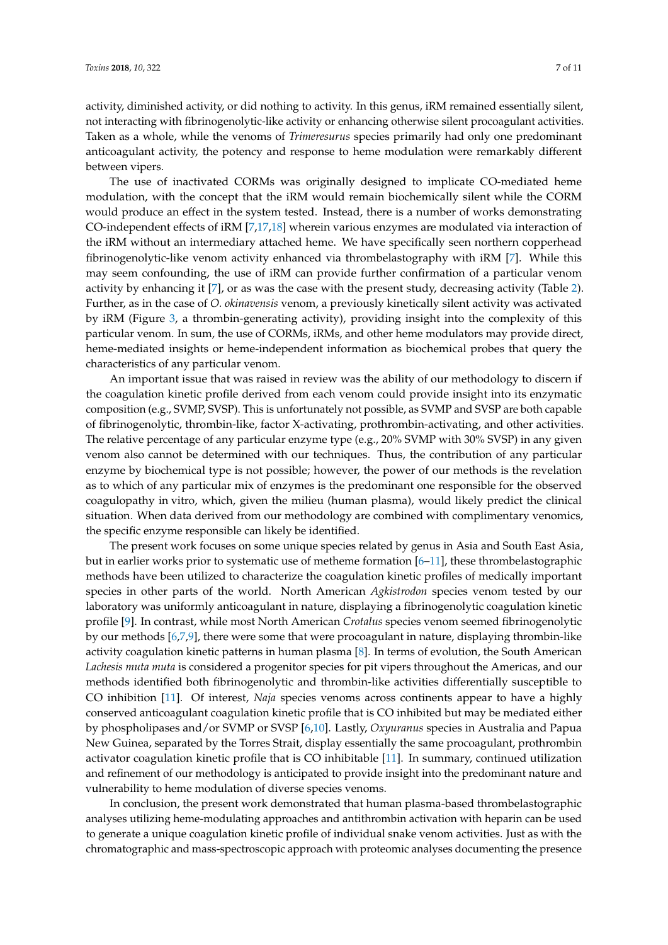activity, diminished activity, or did nothing to activity. In this genus, iRM remained essentially silent, not interacting with fibrinogenolytic-like activity or enhancing otherwise silent procoagulant activities. Taken as a whole, while the venoms of *Trimeresurus* species primarily had only one predominant anticoagulant activity, the potency and response to heme modulation were remarkably different between vipers.

The use of inactivated CORMs was originally designed to implicate CO-mediated heme modulation, with the concept that the iRM would remain biochemically silent while the CORM would produce an effect in the system tested. Instead, there is a number of works demonstrating CO-independent effects of iRM [\[7](#page-9-12)[,17](#page-9-13)[,18\]](#page-9-14) wherein various enzymes are modulated via interaction of the iRM without an intermediary attached heme. We have specifically seen northern copperhead fibrinogenolytic-like venom activity enhanced via thrombelastography with iRM [\[7\]](#page-9-12). While this may seem confounding, the use of iRM can provide further confirmation of a particular venom activity by enhancing it [\[7\]](#page-9-12), or as was the case with the present study, decreasing activity (Table [2\)](#page-5-0). Further, as in the case of *O. okinavensis* venom, a previously kinetically silent activity was activated by iRM (Figure [3,](#page-4-0) a thrombin-generating activity), providing insight into the complexity of this particular venom. In sum, the use of CORMs, iRMs, and other heme modulators may provide direct, heme-mediated insights or heme-independent information as biochemical probes that query the characteristics of any particular venom.

An important issue that was raised in review was the ability of our methodology to discern if the coagulation kinetic profile derived from each venom could provide insight into its enzymatic composition (e.g., SVMP, SVSP). This is unfortunately not possible, as SVMP and SVSP are both capable of fibrinogenolytic, thrombin-like, factor X-activating, prothrombin-activating, and other activities. The relative percentage of any particular enzyme type (e.g., 20% SVMP with 30% SVSP) in any given venom also cannot be determined with our techniques. Thus, the contribution of any particular enzyme by biochemical type is not possible; however, the power of our methods is the revelation as to which of any particular mix of enzymes is the predominant one responsible for the observed coagulopathy in vitro, which, given the milieu (human plasma), would likely predict the clinical situation. When data derived from our methodology are combined with complimentary venomics, the specific enzyme responsible can likely be identified.

The present work focuses on some unique species related by genus in Asia and South East Asia, but in earlier works prior to systematic use of metheme formation [\[6](#page-9-4)[–11\]](#page-9-5), these thrombelastographic methods have been utilized to characterize the coagulation kinetic profiles of medically important species in other parts of the world. North American *Agkistrodon* species venom tested by our laboratory was uniformly anticoagulant in nature, displaying a fibrinogenolytic coagulation kinetic profile [\[9\]](#page-9-15). In contrast, while most North American *Crotalus* species venom seemed fibrinogenolytic by our methods [\[6](#page-9-4)[,7](#page-9-12)[,9\]](#page-9-15), there were some that were procoagulant in nature, displaying thrombin-like activity coagulation kinetic patterns in human plasma [\[8\]](#page-9-16). In terms of evolution, the South American *Lachesis muta muta* is considered a progenitor species for pit vipers throughout the Americas, and our methods identified both fibrinogenolytic and thrombin-like activities differentially susceptible to CO inhibition [\[11\]](#page-9-5). Of interest, *Naja* species venoms across continents appear to have a highly conserved anticoagulant coagulation kinetic profile that is CO inhibited but may be mediated either by phospholipases and/or SVMP or SVSP [\[6](#page-9-4)[,10\]](#page-9-11). Lastly, *Oxyuranus* species in Australia and Papua New Guinea, separated by the Torres Strait, display essentially the same procoagulant, prothrombin activator coagulation kinetic profile that is CO inhibitable [\[11\]](#page-9-5). In summary, continued utilization and refinement of our methodology is anticipated to provide insight into the predominant nature and vulnerability to heme modulation of diverse species venoms.

In conclusion, the present work demonstrated that human plasma-based thrombelastographic analyses utilizing heme-modulating approaches and antithrombin activation with heparin can be used to generate a unique coagulation kinetic profile of individual snake venom activities. Just as with the chromatographic and mass-spectroscopic approach with proteomic analyses documenting the presence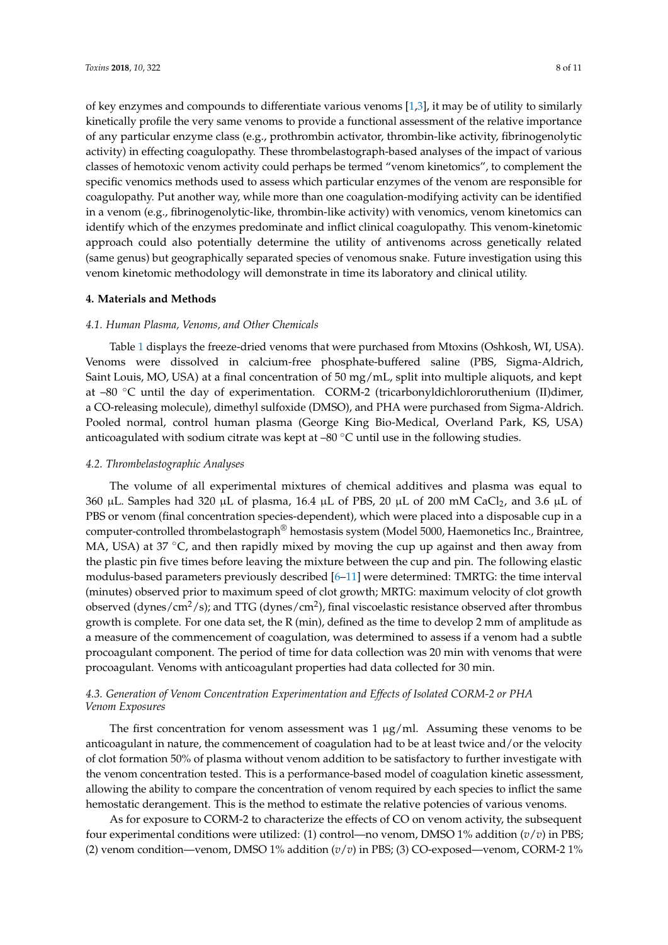of key enzymes and compounds to differentiate various venoms [\[1,](#page-9-0)[3\]](#page-9-1), it may be of utility to similarly kinetically profile the very same venoms to provide a functional assessment of the relative importance of any particular enzyme class (e.g., prothrombin activator, thrombin-like activity, fibrinogenolytic activity) in effecting coagulopathy. These thrombelastograph-based analyses of the impact of various classes of hemotoxic venom activity could perhaps be termed "venom kinetomics", to complement the specific venomics methods used to assess which particular enzymes of the venom are responsible for coagulopathy. Put another way, while more than one coagulation-modifying activity can be identified in a venom (e.g., fibrinogenolytic-like, thrombin-like activity) with venomics, venom kinetomics can identify which of the enzymes predominate and inflict clinical coagulopathy. This venom-kinetomic approach could also potentially determine the utility of antivenoms across genetically related (same genus) but geographically separated species of venomous snake. Future investigation using this venom kinetomic methodology will demonstrate in time its laboratory and clinical utility.

#### **4. Materials and Methods**

#### *4.1. Human Plasma, Venoms, and Other Chemicals*

Table [1](#page-1-0) displays the freeze-dried venoms that were purchased from Mtoxins (Oshkosh, WI, USA). Venoms were dissolved in calcium-free phosphate-buffered saline (PBS, Sigma-Aldrich, Saint Louis, MO, USA) at a final concentration of 50 mg/mL, split into multiple aliquots, and kept at –80 ◦C until the day of experimentation. CORM-2 (tricarbonyldichlororuthenium (II)dimer, a CO-releasing molecule), dimethyl sulfoxide (DMSO), and PHA were purchased from Sigma-Aldrich. Pooled normal, control human plasma (George King Bio-Medical, Overland Park, KS, USA) anticoagulated with sodium citrate was kept at –80 ◦C until use in the following studies.

#### *4.2. Thrombelastographic Analyses*

The volume of all experimental mixtures of chemical additives and plasma was equal to 360 µL. Samples had 320 µL of plasma, 16.4 µL of PBS, 20 µL of 200 mM CaCl<sub>2</sub>, and 3.6 µL of PBS or venom (final concentration species-dependent), which were placed into a disposable cup in a computer-controlled thrombelastograph® hemostasis system (Model 5000, Haemonetics Inc., Braintree, MA, USA) at 37  $\degree$ C, and then rapidly mixed by moving the cup up against and then away from the plastic pin five times before leaving the mixture between the cup and pin. The following elastic modulus-based parameters previously described [\[6](#page-9-4)[–11\]](#page-9-5) were determined: TMRTG: the time interval (minutes) observed prior to maximum speed of clot growth; MRTG: maximum velocity of clot growth observed (dynes/cm<sup>2</sup>/s); and TTG (dynes/cm<sup>2</sup>), final viscoelastic resistance observed after thrombus growth is complete. For one data set, the R (min), defined as the time to develop 2 mm of amplitude as a measure of the commencement of coagulation, was determined to assess if a venom had a subtle procoagulant component. The period of time for data collection was 20 min with venoms that were procoagulant. Venoms with anticoagulant properties had data collected for 30 min.

#### *4.3. Generation of Venom Concentration Experimentation and Effects of Isolated CORM-2 or PHA Venom Exposures*

The first concentration for venom assessment was  $1 \mu g/ml$ . Assuming these venoms to be anticoagulant in nature, the commencement of coagulation had to be at least twice and/or the velocity of clot formation 50% of plasma without venom addition to be satisfactory to further investigate with the venom concentration tested. This is a performance-based model of coagulation kinetic assessment, allowing the ability to compare the concentration of venom required by each species to inflict the same hemostatic derangement. This is the method to estimate the relative potencies of various venoms.

As for exposure to CORM-2 to characterize the effects of CO on venom activity, the subsequent four experimental conditions were utilized: (1) control—no venom, DMSO 1% addition (*v*/*v*) in PBS; (2) venom condition—venom, DMSO 1% addition (*v*/*v*) in PBS; (3) CO-exposed—venom, CORM-2 1%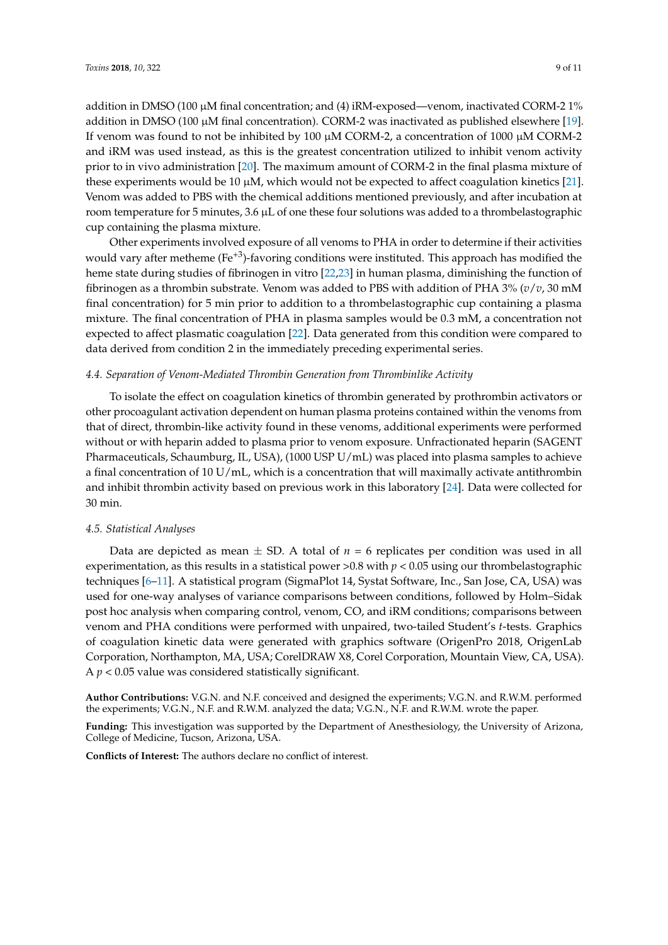addition in DMSO (100  $\mu$ M final concentration; and (4) iRM-exposed—venom, inactivated CORM-2 1% addition in DMSO (100  $\mu$ M final concentration). CORM-2 was inactivated as published elsewhere [\[19\]](#page-9-17). If venom was found to not be inhibited by 100  $\mu$ M CORM-2, a concentration of 1000  $\mu$ M CORM-2 and iRM was used instead, as this is the greatest concentration utilized to inhibit venom activity prior to in vivo administration [\[20\]](#page-9-18). The maximum amount of CORM-2 in the final plasma mixture of these experiments would be 10  $\mu$ M, which would not be expected to affect coagulation kinetics [\[21\]](#page-10-0). Venom was added to PBS with the chemical additions mentioned previously, and after incubation at room temperature for 5 minutes, 3.6 µL of one these four solutions was added to a thrombelastographic cup containing the plasma mixture.

Other experiments involved exposure of all venoms to PHA in order to determine if their activities would vary after metheme  $(Fe^{+3})$ -favoring conditions were instituted. This approach has modified the heme state during studies of fibrinogen in vitro [\[22,](#page-10-1)[23\]](#page-10-2) in human plasma, diminishing the function of fibrinogen as a thrombin substrate. Venom was added to PBS with addition of PHA 3% (*v*/*v*, 30 mM final concentration) for 5 min prior to addition to a thrombelastographic cup containing a plasma mixture. The final concentration of PHA in plasma samples would be 0.3 mM, a concentration not expected to affect plasmatic coagulation [\[22\]](#page-10-1). Data generated from this condition were compared to data derived from condition 2 in the immediately preceding experimental series.

#### *4.4. Separation of Venom-Mediated Thrombin Generation from Thrombinlike Activity*

To isolate the effect on coagulation kinetics of thrombin generated by prothrombin activators or other procoagulant activation dependent on human plasma proteins contained within the venoms from that of direct, thrombin-like activity found in these venoms, additional experiments were performed without or with heparin added to plasma prior to venom exposure. Unfractionated heparin (SAGENT Pharmaceuticals, Schaumburg, IL, USA), (1000 USP U/mL) was placed into plasma samples to achieve a final concentration of 10 U/mL, which is a concentration that will maximally activate antithrombin and inhibit thrombin activity based on previous work in this laboratory [\[24\]](#page-10-3). Data were collected for 30 min.

#### *4.5. Statistical Analyses*

Data are depicted as mean  $\pm$  SD. A total of  $n = 6$  replicates per condition was used in all experimentation, as this results in a statistical power >0.8 with *p* < 0.05 using our thrombelastographic techniques [\[6–](#page-9-4)[11\]](#page-9-5). A statistical program (SigmaPlot 14, Systat Software, Inc., San Jose, CA, USA) was used for one-way analyses of variance comparisons between conditions, followed by Holm–Sidak post hoc analysis when comparing control, venom, CO, and iRM conditions; comparisons between venom and PHA conditions were performed with unpaired, two-tailed Student's *t*-tests. Graphics of coagulation kinetic data were generated with graphics software (OrigenPro 2018, OrigenLab Corporation, Northampton, MA, USA; CorelDRAW X8, Corel Corporation, Mountain View, CA, USA). A *p* < 0.05 value was considered statistically significant.

**Author Contributions:** V.G.N. and N.F. conceived and designed the experiments; V.G.N. and R.W.M. performed the experiments; V.G.N., N.F. and R.W.M. analyzed the data; V.G.N., N.F. and R.W.M. wrote the paper.

**Funding:** This investigation was supported by the Department of Anesthesiology, the University of Arizona, College of Medicine, Tucson, Arizona, USA.

**Conflicts of Interest:** The authors declare no conflict of interest.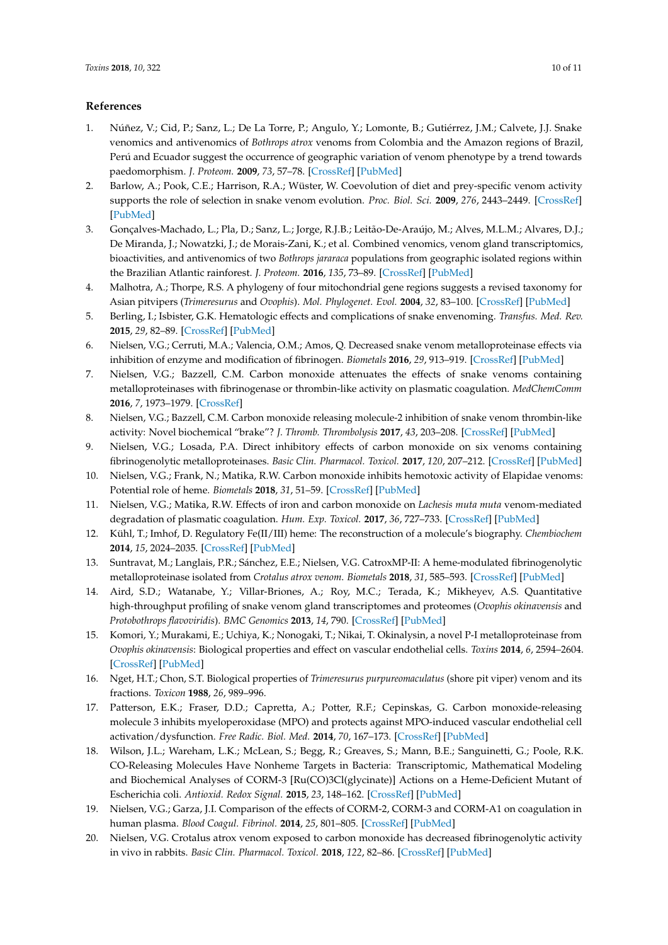### **References**

- <span id="page-9-0"></span>1. Núñez, V.; Cid, P.; Sanz, L.; De La Torre, P.; Angulo, Y.; Lomonte, B.; Gutiérrez, J.M.; Calvete, J.J. Snake venomics and antivenomics of *Bothrops atrox* venoms from Colombia and the Amazon regions of Brazil, Perú and Ecuador suggest the occurrence of geographic variation of venom phenotype by a trend towards paedomorphism. *J. Proteom.* **2009**, *73*, 57–78. [\[CrossRef\]](http://dx.doi.org/10.1016/j.jprot.2009.07.013) [\[PubMed\]](http://www.ncbi.nlm.nih.gov/pubmed/19665598)
- 2. Barlow, A.; Pook, C.E.; Harrison, R.A.; Wüster, W. Coevolution of diet and prey-specific venom activity supports the role of selection in snake venom evolution. *Proc. Biol. Sci.* **2009**, *276*, 2443–2449. [\[CrossRef\]](http://dx.doi.org/10.1098/rspb.2009.0048) [\[PubMed\]](http://www.ncbi.nlm.nih.gov/pubmed/19364745)
- <span id="page-9-1"></span>3. Gonçalves-Machado, L.; Pla, D.; Sanz, L.; Jorge, R.J.B.; Leitão-De-Araújo, M.; Alves, M.L.M.; Alvares, D.J.; De Miranda, J.; Nowatzki, J.; de Morais-Zani, K.; et al. Combined venomics, venom gland transcriptomics, bioactivities, and antivenomics of two *Bothrops jararaca* populations from geographic isolated regions within the Brazilian Atlantic rainforest. *J. Proteom.* **2016**, *135*, 73–89. [\[CrossRef\]](http://dx.doi.org/10.1016/j.jprot.2015.04.029) [\[PubMed\]](http://www.ncbi.nlm.nih.gov/pubmed/25968638)
- <span id="page-9-2"></span>4. Malhotra, A.; Thorpe, R.S. A phylogeny of four mitochondrial gene regions suggests a revised taxonomy for Asian pitvipers (*Trimeresurus* and *Ovophis*). *Mol. Phylogenet. Evol.* **2004**, *32*, 83–100. [\[CrossRef\]](http://dx.doi.org/10.1016/j.ympev.2004.02.008) [\[PubMed\]](http://www.ncbi.nlm.nih.gov/pubmed/15186799)
- <span id="page-9-3"></span>5. Berling, I.; Isbister, G.K. Hematologic effects and complications of snake envenoming. *Transfus. Med. Rev.* **2015**, *29*, 82–89. [\[CrossRef\]](http://dx.doi.org/10.1016/j.tmrv.2014.09.005) [\[PubMed\]](http://www.ncbi.nlm.nih.gov/pubmed/25556574)
- <span id="page-9-4"></span>6. Nielsen, V.G.; Cerruti, M.A.; Valencia, O.M.; Amos, Q. Decreased snake venom metalloproteinase effects via inhibition of enzyme and modification of fibrinogen. *Biometals* **2016**, *29*, 913–919. [\[CrossRef\]](http://dx.doi.org/10.1007/s10534-016-9963-z) [\[PubMed\]](http://www.ncbi.nlm.nih.gov/pubmed/27492573)
- <span id="page-9-12"></span>7. Nielsen, V.G.; Bazzell, C.M. Carbon monoxide attenuates the effects of snake venoms containing metalloproteinases with fibrinogenase or thrombin-like activity on plasmatic coagulation. *MedChemComm* **2016**, *7*, 1973–1979. [\[CrossRef\]](http://dx.doi.org/10.1039/C6MD00336B)
- <span id="page-9-16"></span>8. Nielsen, V.G.; Bazzell, C.M. Carbon monoxide releasing molecule-2 inhibition of snake venom thrombin-like activity: Novel biochemical "brake"? *J. Thromb. Thrombolysis* **2017**, *43*, 203–208. [\[CrossRef\]](http://dx.doi.org/10.1007/s11239-016-1442-4) [\[PubMed\]](http://www.ncbi.nlm.nih.gov/pubmed/27787696)
- <span id="page-9-15"></span>9. Nielsen, V.G.; Losada, P.A. Direct inhibitory effects of carbon monoxide on six venoms containing fibrinogenolytic metalloproteinases. *Basic Clin. Pharmacol. Toxicol.* **2017**, *120*, 207–212. [\[CrossRef\]](http://dx.doi.org/10.1111/bcpt.12654) [\[PubMed\]](http://www.ncbi.nlm.nih.gov/pubmed/27546530)
- <span id="page-9-11"></span>10. Nielsen, V.G.; Frank, N.; Matika, R.W. Carbon monoxide inhibits hemotoxic activity of Elapidae venoms: Potential role of heme. *Biometals* **2018**, *31*, 51–59. [\[CrossRef\]](http://dx.doi.org/10.1007/s10534-017-0066-2) [\[PubMed\]](http://www.ncbi.nlm.nih.gov/pubmed/29170850)
- <span id="page-9-5"></span>11. Nielsen, V.G.; Matika, R.W. Effects of iron and carbon monoxide on *Lachesis muta muta* venom-mediated degradation of plasmatic coagulation. *Hum. Exp. Toxicol.* **2017**, *36*, 727–733. [\[CrossRef\]](http://dx.doi.org/10.1177/0960327116661401) [\[PubMed\]](http://www.ncbi.nlm.nih.gov/pubmed/27488540)
- <span id="page-9-6"></span>12. Kühl, T.; Imhof, D. Regulatory Fe(II/III) heme: The reconstruction of a molecule's biography. *Chembiochem* **2014**, *15*, 2024–2035. [\[CrossRef\]](http://dx.doi.org/10.1002/cbic.201402218) [\[PubMed\]](http://www.ncbi.nlm.nih.gov/pubmed/25196849)
- <span id="page-9-7"></span>13. Suntravat, M.; Langlais, P.R.; Sánchez, E.E.; Nielsen, V.G. CatroxMP-II: A heme-modulated fibrinogenolytic metalloproteinase isolated from *Crotalus atrox venom*. *Biometals* **2018**, *31*, 585–593. [\[CrossRef\]](http://dx.doi.org/10.1007/s10534-018-0107-5) [\[PubMed\]](http://www.ncbi.nlm.nih.gov/pubmed/29761254)
- <span id="page-9-8"></span>14. Aird, S.D.; Watanabe, Y.; Villar-Briones, A.; Roy, M.C.; Terada, K.; Mikheyev, A.S. Quantitative high-throughput profiling of snake venom gland transcriptomes and proteomes (*Ovophis okinavensis* and *Protobothrops flavoviridis*). *BMC Genomics* **2013**, *14*, 790. [\[CrossRef\]](http://dx.doi.org/10.1186/1471-2164-14-790) [\[PubMed\]](http://www.ncbi.nlm.nih.gov/pubmed/24224955)
- <span id="page-9-9"></span>15. Komori, Y.; Murakami, E.; Uchiya, K.; Nonogaki, T.; Nikai, T. Okinalysin, a novel P-I metalloproteinase from *Ovophis okinavensis*: Biological properties and effect on vascular endothelial cells. *Toxins* **2014**, *6*, 2594–2604. [\[CrossRef\]](http://dx.doi.org/10.3390/toxins6092594) [\[PubMed\]](http://www.ncbi.nlm.nih.gov/pubmed/25157606)
- <span id="page-9-10"></span>16. Nget, H.T.; Chon, S.T. Biological properties of *Trimeresurus purpureomaculatus* (shore pit viper) venom and its fractions. *Toxicon* **1988**, *26*, 989–996.
- <span id="page-9-13"></span>17. Patterson, E.K.; Fraser, D.D.; Capretta, A.; Potter, R.F.; Cepinskas, G. Carbon monoxide-releasing molecule 3 inhibits myeloperoxidase (MPO) and protects against MPO-induced vascular endothelial cell activation/dysfunction. *Free Radic. Biol. Med.* **2014**, *70*, 167–173. [\[CrossRef\]](http://dx.doi.org/10.1016/j.freeradbiomed.2014.02.020) [\[PubMed\]](http://www.ncbi.nlm.nih.gov/pubmed/24583458)
- <span id="page-9-14"></span>18. Wilson, J.L.; Wareham, L.K.; McLean, S.; Begg, R.; Greaves, S.; Mann, B.E.; Sanguinetti, G.; Poole, R.K. CO-Releasing Molecules Have Nonheme Targets in Bacteria: Transcriptomic, Mathematical Modeling and Biochemical Analyses of CORM-3 [Ru(CO)3Cl(glycinate)] Actions on a Heme-Deficient Mutant of Escherichia coli. *Antioxid. Redox Signal.* **2015**, *23*, 148–162. [\[CrossRef\]](http://dx.doi.org/10.1089/ars.2014.6151) [\[PubMed\]](http://www.ncbi.nlm.nih.gov/pubmed/25811604)
- <span id="page-9-17"></span>19. Nielsen, V.G.; Garza, J.I. Comparison of the effects of CORM-2, CORM-3 and CORM-A1 on coagulation in human plasma. *Blood Coagul. Fibrinol.* **2014**, *25*, 801–805. [\[CrossRef\]](http://dx.doi.org/10.1097/MBC.0000000000000146) [\[PubMed\]](http://www.ncbi.nlm.nih.gov/pubmed/25058038)
- <span id="page-9-18"></span>20. Nielsen, V.G. Crotalus atrox venom exposed to carbon monoxide has decreased fibrinogenolytic activity in vivo in rabbits. *Basic Clin. Pharmacol. Toxicol.* **2018**, *122*, 82–86. [\[CrossRef\]](http://dx.doi.org/10.1111/bcpt.12846) [\[PubMed\]](http://www.ncbi.nlm.nih.gov/pubmed/28691277)